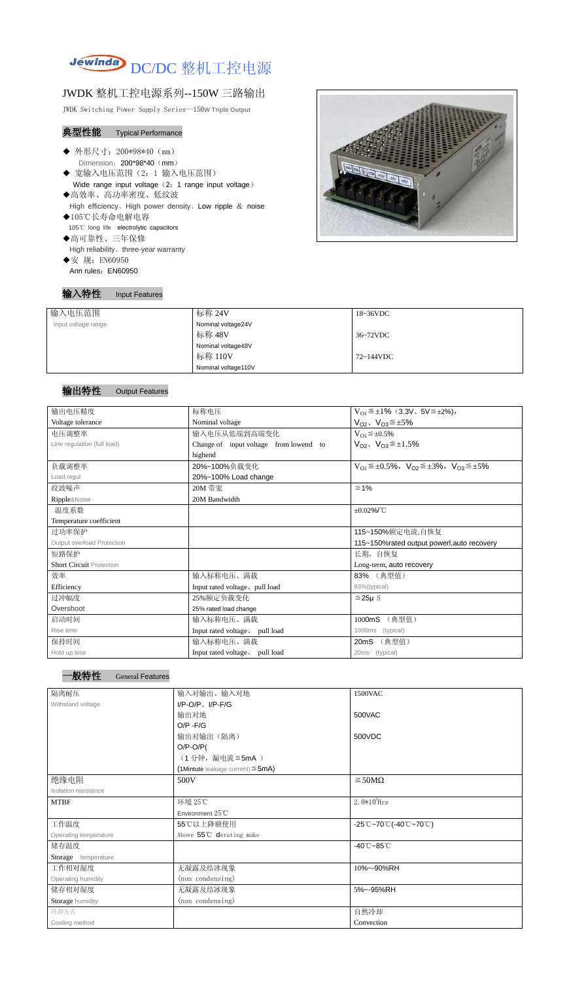

## JWDK 整机工控电源系列--150W 三路输出

JWDK Switching Power Supply Series--150**W Triple Output**

## 典型性能 Typical Performance

- Ī ◆ 外形尺寸: 200\*98\*40 (mm) Dimension: 200\*98\*40 (mm)
- ◆ 宽输入电压范围(2:1 输入电压范围) Wide range input voltage (2: 1 range input voltage)
- ◆高效率、高功率密度、低纹波 High efficiency、High power density、Low ripple & noise ◆105℃长寿命电解电容
- 105℃ long life electrolytic capacitors
- ◆高可靠性、三年保修 High reliability、three-year warranty
- ◆安 规: EN60950 Ann rules: EN60950

## 输入特性 Input Features



## 输出特性 Output Features

一般特性 General Features

| 输入电压范围              | 标称 24V              | $18~36\textrm{VDC}$ |
|---------------------|---------------------|---------------------|
| Input voltage range | Nominal voltage24V  |                     |
|                     | 标称 48V              | 36~72VDC            |
|                     | Nominal voltage48V  |                     |
|                     | 标称 110V             | 72~144VDC           |
|                     | Nominal voltage110V |                     |

| 输出电压精度                          | 标称电压                                   | $V_{01} \leq \pm 1\%$ (3.3V, 5V $\leq \pm 2\%$ ),                       |  |
|---------------------------------|----------------------------------------|-------------------------------------------------------------------------|--|
| Voltage tolerance               | Nominal voltage                        | $V_{O2}$ , $V_{O3} \leq \pm 5\%$                                        |  |
| 电压调整率                           | 输入电压从低端到高端变化                           | $V_{O1} \leq \pm 0.5\%$                                                 |  |
| Line regulation (full load)     | Change of input voltage from lowend to | $V_{O2}$ , $V_{O3} \leq \pm 1.5\%$                                      |  |
|                                 | highend                                |                                                                         |  |
| 负载调整率                           | 20%~100%负载变化                           | $V_{O1} \leq \pm 0.5\%$ , $V_{O2} \leq \pm 3\%$ , $V_{O3} \leq \pm 5\%$ |  |
| Load regul                      | 20%~100% Load change                   |                                                                         |  |
| 纹波噪声                            | 20M 带宽                                 | $\leq 1\%$                                                              |  |
| Ripple&Noise                    | 20M Bandwidth                          |                                                                         |  |
| 温度系数                            |                                        | $\pm 0.02\%$ /°C                                                        |  |
| Temperature coefficient         |                                        |                                                                         |  |
| 过功率保护                           |                                        | 115~150%额定电流,自恢复                                                        |  |
| Output overload Protection      |                                        | 115~150% rated output powerl, auto recovery                             |  |
| 短路保护                            |                                        | 长期, 自恢复                                                                 |  |
| <b>Short Circuit Protection</b> |                                        | Long-term, auto recovery                                                |  |
| 效率                              | 输入标称电压、满载                              | 83% (典型值)                                                               |  |
| Efficiency                      | Input rated voltage, pull load         | 83%(typical)                                                            |  |
| 过冲幅度                            | 25%额定负载变化                              | $≤25\mu$ S                                                              |  |
| Overshoot                       | 25% rated load change                  |                                                                         |  |
| 启动时间                            | 输入标称电压、满载                              | (典型值)<br>1000mS                                                         |  |
| Rise time                       | Input rated voltage, pull load         | 1000ms<br>(typical)                                                     |  |
| 保持时间                            | 输入标称电压、满载                              | (典型值)<br>20mS                                                           |  |
| Hold up time                    | Input rated voltage, pull load         | 20ms (typical)                                                          |  |

| 隔离耐压                        | 输入对输出、输入对地                                | 1500VAC                                                                               |
|-----------------------------|-------------------------------------------|---------------------------------------------------------------------------------------|
| Withstand voltage           | $I/P-O/P$ , $I/P-F/G$                     |                                                                                       |
|                             | 输出对地                                      | 500VAC                                                                                |
|                             | $O/P - F/G$                               |                                                                                       |
|                             | 输出对输出(隔离)                                 | 500VDC                                                                                |
|                             | $O/P-O/P($                                |                                                                                       |
|                             | (1分钟,漏电流≦5mA)                             |                                                                                       |
|                             | $(1$ Mintute leakage current) $\leq$ 5mA) |                                                                                       |
| 绝缘电阻                        | 500V                                      | $\geq$ 50M $\Omega$                                                                   |
| <b>Isolation resistance</b> |                                           |                                                                                       |
| <b>MTBF</b>                 | 环境 25℃                                    | $2.0*105$ Hrs                                                                         |
|                             | Environment 25°C                          |                                                                                       |
| 工作温度                        | 55℃以上降额使用                                 | $-25^{\circ}\text{C}-70^{\circ}\text{C}$ (-40 $^{\circ}\text{C}-70^{\circ}\text{C}$ ) |
| Operating temperature       | Above 55°C derating make                  |                                                                                       |
| 储存温度                        |                                           | $-40^{\circ}$ C $-85^{\circ}$ C                                                       |
| Storage temperature         |                                           |                                                                                       |
| 工作相对湿度                      | 无凝露及结冰现象                                  | 10%~-90%RH                                                                            |
| Operating humidity          | (non condensing)                          |                                                                                       |
| 储存相对湿度                      | 无凝露及结冰现象                                  | 5%~-95%RH                                                                             |
| Storage humidity            | (non condensing)                          |                                                                                       |
| 冷却方式                        |                                           | 自然冷却                                                                                  |
| Cooling method              |                                           | Convection                                                                            |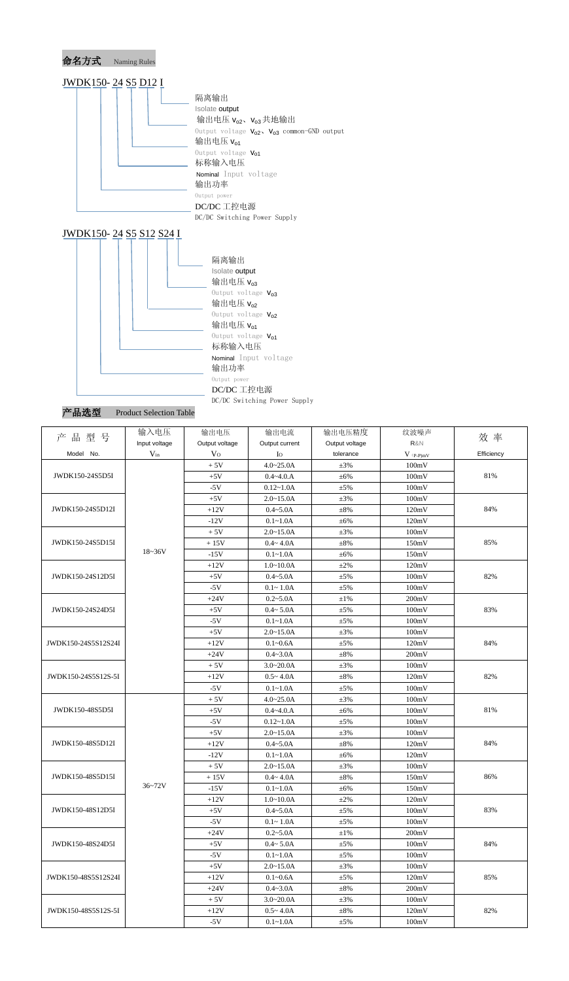

|  | ≃品选型 |  |
|--|------|--|
|  |      |  |

Product Selection Table

| 品型号<br>产            | 输入电压          | 输出电压           | 输出电流           | 输出电压精度         | 纹波噪声                                   | 效 率        |
|---------------------|---------------|----------------|----------------|----------------|----------------------------------------|------------|
|                     | Input voltage | Output voltage | Output current | Output voltage | R&N                                    |            |
| Model No.           | $V_{in}$      | V <sub>O</sub> | Io             | tolerance      | $V$ $\mathrm{(}p\text{-}p\mathrm{)}mV$ | Efficiency |
|                     |               | $+5V$          | $4.0 - 25.0A$  | $\pm 3\%$      | 100mV                                  |            |
| JWDK150-24S5D5I     |               | $+5V$          | $0.4 - 4.0.A$  | $\pm 6\%$      | 100mV                                  | 81%        |
|                     |               | $-5V$          | $0.12 - 1.0A$  | $\pm 5\%$      | 100mV                                  |            |
|                     |               | $+5V$          | $2.0 - 15.0A$  | $\pm 3\%$      | 100mV                                  |            |
| JWDK150-24S5D12I    |               | $+12V$         | $0.4 - 5.0A$   | $\pm 8\%$      | 120mV                                  | 84%        |
|                     |               | $-12V$         | $0.1 - 1.0A$   | $\pm 6\%$      | 120mV                                  |            |
|                     |               | $+5V$          | $2.0 - 15.0A$  | $\pm 3\%$      | 100mV                                  |            |
| JWDK150-24S5D15I    |               | $+15V$         | $0.4 - 4.0A$   | $\pm 8\%$      | 150mV                                  | 85%        |
|                     | $18 - 36V$    | $-15V$         | $0.1 - 1.0A$   | ±6%            | 150mV                                  |            |
|                     |               | $+12V$         | $1.0 - 10.0A$  | $\pm 2\%$      | 120mV                                  |            |
| JWDK150-24S12D5I    |               | $+5V$          | $0.4 - 5.0A$   | $\pm 5\%$      | 100mV                                  | 82%        |
|                     |               | $-5V$          | $0.1 - 1.0A$   | $\pm 5\%$      | 100mV                                  |            |
|                     |               | $+24V$         | $0.2 - 5.0A$   | $\pm 1\%$      | 200mV                                  |            |
| JWDK150-24S24D5I    |               | $+5V$          | $0.4 - 5.0A$   | $\pm 5\%$      | 100mV                                  | 83%        |
|                     |               | $-5V$          | $0.1 - 1.0A$   | $\pm 5\%$      | 100mV                                  |            |
|                     |               | $+5V$          | $2.0 - 15.0A$  | $\pm 3\%$      | 100mV                                  |            |
| JWDK150-24S5S12S24I |               | $+12V$         | $0.1 - 0.6A$   | $\pm 5\%$      | 120mV                                  | 84%        |
|                     |               | $+24V$         | $0.4 - 3.0A$   | $\pm 8\%$      | 200mV                                  |            |
|                     |               | $+5V$          | $3.0 - 20.0A$  | $\pm 3\%$      | 100mV                                  |            |
| JWDK150-24S5S12S-5I |               | $+12V$         | $0.5 - 4.0A$   | $\pm 8\%$      | 120mV                                  | 82%        |
|                     |               | $-5V$          | $0.1 - 1.0A$   | $\pm 5\%$      | 100mV                                  |            |
|                     |               | $+5V$          | $4.0 - 25.0A$  | $\pm 3\%$      | 100mV                                  |            |
| JWDK150-48S5D5I     |               | $+5V$          | $0.4 - 4.0.A$  | ±6%            | 100mV                                  | 81%        |
|                     |               | $-5V$          | $0.12 - 1.0A$  | $\pm 5\%$      | 100mV                                  |            |
|                     |               | $+5V$          | $2.0 - 15.0A$  | $\pm 3\%$      | 100mV                                  |            |
| JWDK150-48S5D12I    |               | $+12V$         | $0.4 - 5.0A$   | $\pm 8\%$      | 120mV                                  | 84%        |
|                     |               | $-12V$         | $0.1 - 1.0A$   | $\pm 6\%$      | 120mV                                  |            |
|                     |               | $+5V$          | $2.0 - 15.0A$  | $\pm 3\%$      | 100mV                                  |            |
| JWDK150-48S5D15I    |               | $+15V$         | $0.4 - 4.0A$   | $\pm 8\%$      | 150mV                                  | 86%        |
|                     | $36 - 72V$    | $-15V$         | $0.1 - 1.0A$   | $\pm 6\%$      | 150mV                                  |            |
|                     |               | $+12V$         | $1.0 - 10.0A$  | $\pm 2\%$      | 120mV                                  |            |
| JWDK150-48S12D5I    |               | $+5V$          | $0.4 - 5.0A$   | $\pm 5\%$      | 100mV                                  | 83%        |
|                     |               | $-5V$          | $0.1 - 1.0A$   | $\pm$ 5%       | 100mV                                  |            |
|                     |               | $+24V$         | $0.2 - 5.0A$   | $\pm 1\%$      | 200mV                                  |            |
| JWDK150-48S24D5I    |               | $+5V$          | $0.4 - 5.0A$   | $\pm$ 5%       | 100mV                                  | 84%        |
|                     |               | $-5V$          | $0.1 - 1.0A$   | $\pm$ 5%       | 100mV                                  |            |
|                     |               | $+5V$          | $2.0 - 15.0A$  | $\pm 3\%$      | 100mV                                  |            |
| JWDK150-48S5S12S24I |               | $+12V$         | $0.1 - 0.6A$   | $\pm$ 5%       | 120mV                                  | 85%        |
|                     |               | $+24V$         | $0.4 - 3.0A$   | $\pm 8\%$      | 200mV                                  |            |
|                     |               | $+5V$          | $3.0 - 20.0A$  | $\pm 3\%$      | 100mV                                  |            |
| JWDK150-48S5S12S-5I |               | $+12V$         | $0.5 - 4.0A$   | $\pm 8\%$      | 120mV                                  | 82%        |
|                     |               | $-5V$          | $0.1 - 1.0A$   | $\pm 5\%$      | 100mV                                  |            |